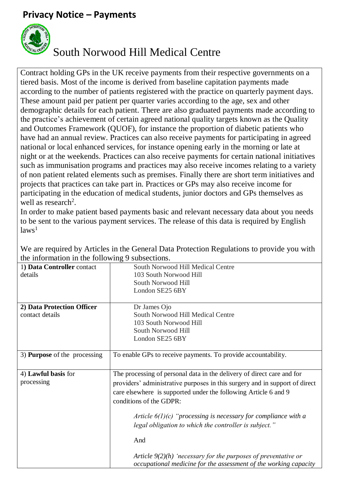## **Privacy Notice – Payments**



## South Norwood Hill Medical Centre

Contract holding GPs in the UK receive payments from their respective governments on a tiered basis. Most of the income is derived from baseline capitation payments made according to the number of patients registered with the practice on quarterly payment days. These amount paid per patient per quarter varies according to the age, sex and other demographic details for each patient. There are also graduated payments made according to the practice's achievement of certain agreed national quality targets known as the Quality and Outcomes Framework (QUOF), for instance the proportion of diabetic patients who have had an annual review. Practices can also receive payments for participating in agreed national or local enhanced services, for instance opening early in the morning or late at night or at the weekends. Practices can also receive payments for certain national initiatives such as immunisation programs and practices may also receive incomes relating to a variety of non patient related elements such as premises. Finally there are short term initiatives and projects that practices can take part in. Practices or GPs may also receive income for participating in the education of medical students, junior doctors and GPs themselves as well as research<sup>2</sup>.

In order to make patient based payments basic and relevant necessary data about you needs to be sent to the various payment services. The release of this data is required by English  $laws<sup>1</sup>$ 

| 1) Data Controller contact<br>details         | South Norwood Hill Medical Centre<br>103 South Norwood Hill<br>South Norwood Hill<br>London SE25 6BY                                 |
|-----------------------------------------------|--------------------------------------------------------------------------------------------------------------------------------------|
| 2) Data Protection Officer<br>contact details | Dr James Ojo<br>South Norwood Hill Medical Centre                                                                                    |
|                                               | 103 South Norwood Hill                                                                                                               |
|                                               | South Norwood Hill                                                                                                                   |
|                                               | London SE25 6BY                                                                                                                      |
| 3) <b>Purpose</b> of the processing           | To enable GPs to receive payments. To provide accountability.                                                                        |
| 4) Lawful basis for                           | The processing of personal data in the delivery of direct care and for                                                               |
| processing                                    | providers' administrative purposes in this surgery and in support of direct                                                          |
|                                               | care elsewhere is supported under the following Article 6 and 9                                                                      |
|                                               | conditions of the GDPR:                                                                                                              |
|                                               | Article $6(1)(c)$ "processing is necessary for compliance with a<br>legal obligation to which the controller is subject."            |
|                                               | And                                                                                                                                  |
|                                               | Article $9(2)(h)$ 'necessary for the purposes of preventative or<br>occupational medicine for the assessment of the working capacity |

We are required by Articles in the General Data Protection Regulations to provide you with the information in the following 9 subsections.